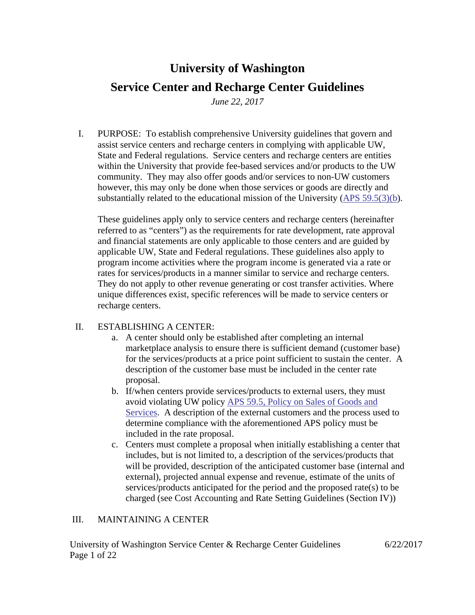# **University of Washington Service Center and Recharge Center Guidelines**

*June 22, 2017*

I. PURPOSE: To establish comprehensive University guidelines that govern and assist service centers and recharge centers in complying with applicable UW, State and Federal regulations. Service centers and recharge centers are entities within the University that provide fee-based services and/or products to the UW community. They may also offer goods and/or services to non-UW customers however, this may only be done when those services or goods are directly and substantially related to the educational mission of the University [\(APS 59.5\(3\)\(b\)](http://www.washington.edu/admin/rules/policies/APS/59.05.html).

These guidelines apply only to service centers and recharge centers (hereinafter referred to as "centers") as the requirements for rate development, rate approval and financial statements are only applicable to those centers and are guided by applicable UW, State and Federal regulations. These guidelines also apply to program income activities where the program income is generated via a rate or rates for services/products in a manner similar to service and recharge centers. They do not apply to other revenue generating or cost transfer activities. Where unique differences exist, specific references will be made to service centers or recharge centers.

## II. ESTABLISHING A CENTER:

- a. A center should only be established after completing an internal marketplace analysis to ensure there is sufficient demand (customer base) for the services/products at a price point sufficient to sustain the center. A description of the customer base must be included in the center rate proposal.
- b. If/when centers provide services/products to external users, they must avoid violating UW policy APS 59.5, [Policy on Sales of Goods and](http://www.washington.edu/admin/rules/policies/APS/59.05.html)  [Services.](http://www.washington.edu/admin/rules/policies/APS/59.05.html) A description of the external customers and the process used to determine compliance with the aforementioned APS policy must be included in the rate proposal.
- c. Centers must complete a proposal when initially establishing a center that includes, but is not limited to, a description of the services/products that will be provided, description of the anticipated customer base (internal and external), projected annual expense and revenue, estimate of the units of services/products anticipated for the period and the proposed rate(s) to be charged (see Cost Accounting and Rate Setting Guidelines (Section IV))

### III. MAINTAINING A CENTER

University of Washington Service Center & Recharge Center Guidelines 6/22/2017 Page 1 of 22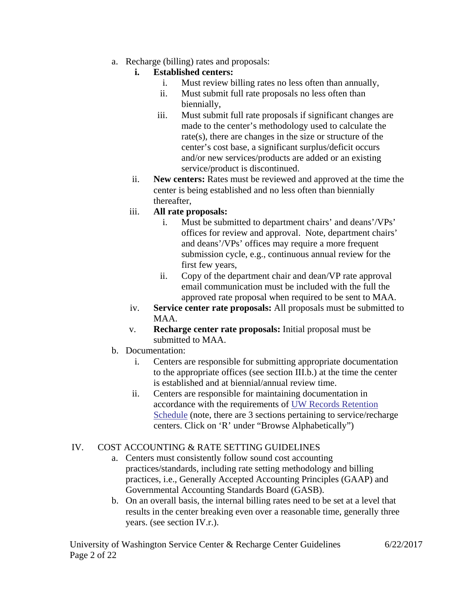a. Recharge (billing) rates and proposals:

## **i. Established centers:**

- i. Must review billing rates no less often than annually,
- ii. Must submit full rate proposals no less often than biennially,
- iii. Must submit full rate proposals if significant changes are made to the center's methodology used to calculate the rate(s), there are changes in the size or structure of the center's cost base, a significant surplus/deficit occurs and/or new services/products are added or an existing service/product is discontinued.
- ii. **New centers:** Rates must be reviewed and approved at the time the center is being established and no less often than biennially thereafter,

## iii. **All rate proposals:**

- i. Must be submitted to department chairs' and deans'/VPs' offices for review and approval. Note, department chairs' and deans'/VPs' offices may require a more frequent submission cycle, e.g., continuous annual review for the first few years,
- ii. Copy of the department chair and dean/VP rate approval email communication must be included with the full the approved rate proposal when required to be sent to MAA.
- iv. **Service center rate proposals:** All proposals must be submitted to MAA.
- v. **Recharge center rate proposals:** Initial proposal must be submitted to MAA.
- b. Documentation:
	- i. Centers are responsible for submitting appropriate documentation to the appropriate offices (see section III.b.) at the time the center is established and at biennial/annual review time.
	- ii. Centers are responsible for maintaining documentation in accordance with the requirements of [UW Records Retention](http://f2.washington.edu/fm/recmgt/gs/financial?title=R)  [Schedule](http://f2.washington.edu/fm/recmgt/gs/financial?title=R) (note, there are 3 sections pertaining to service/recharge centers. Click on 'R' under "Browse Alphabetically")

## IV. COST ACCOUNTING & RATE SETTING GUIDELINES

- a. Centers must consistently follow sound cost accounting practices/standards, including rate setting methodology and billing practices, i.e., Generally Accepted Accounting Principles (GAAP) and Governmental Accounting Standards Board (GASB).
- b. On an overall basis, the internal billing rates need to be set at a level that results in the center breaking even over a reasonable time, generally three years. (see section IV.r.).

University of Washington Service Center & Recharge Center Guidelines 6/22/2017 Page 2 of 22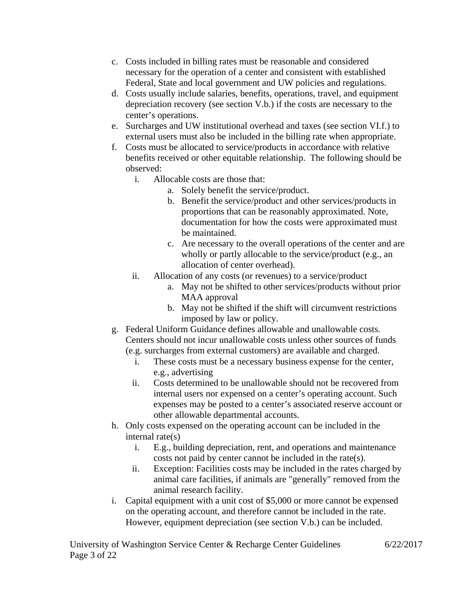- c. Costs included in billing rates must be reasonable and considered necessary for the operation of a center and consistent with established Federal, State and local government and UW policies and regulations.
- d. Costs usually include salaries, benefits, operations, travel, and equipment depreciation recovery (see section V.b.) if the costs are necessary to the center's operations.
- e. Surcharges and UW institutional overhead and taxes (see section VI.f.) to external users must also be included in the billing rate when appropriate.
- f. Costs must be allocated to service/products in accordance with relative benefits received or other equitable relationship. The following should be observed:
	- i. Allocable costs are those that:
		- a. Solely benefit the service/product.
		- b. Benefit the service/product and other services/products in proportions that can be reasonably approximated. Note, documentation for how the costs were approximated must be maintained.
		- c. Are necessary to the overall operations of the center and are wholly or partly allocable to the service/product (e.g., an allocation of center overhead).
	- ii. Allocation of any costs (or revenues) to a service/product
		- a. May not be shifted to other services/products without prior MAA approval
		- b. May not be shifted if the shift will circumvent restrictions imposed by law or policy.
- g. Federal Uniform Guidance defines allowable and unallowable costs. Centers should not incur unallowable costs unless other sources of funds (e.g. surcharges from external customers) are available and charged.
	- i. These costs must be a necessary business expense for the center, e.g., advertising
	- ii. Costs determined to be unallowable should not be recovered from internal users nor expensed on a center's operating account. Such expenses may be posted to a center's associated reserve account or other allowable departmental accounts.
- h. Only costs expensed on the operating account can be included in the internal rate(s)
	- i. E.g., building depreciation, rent, and operations and maintenance costs not paid by center cannot be included in the rate(s).
	- ii. Exception: Facilities costs may be included in the rates charged by animal care facilities, if animals are "generally" removed from the animal research facility.
- i. Capital equipment with a unit cost of \$5,000 or more cannot be expensed on the operating account, and therefore cannot be included in the rate. However, equipment depreciation (see section V.b.) can be included.

University of Washington Service Center & Recharge Center Guidelines 6/22/2017 Page 3 of 22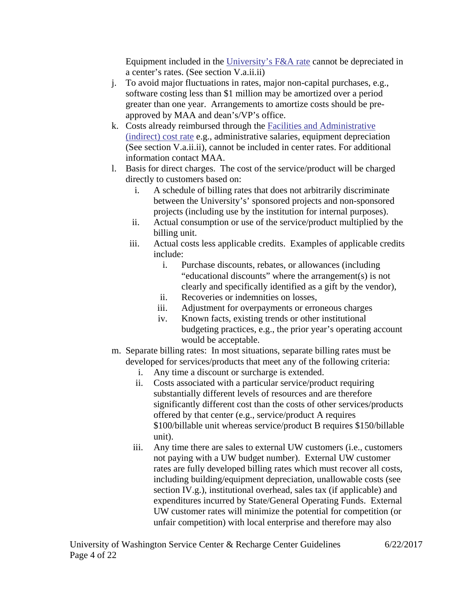Equipment included in the [University's F&A rate](https://finance.uw.edu/maa/netid/fa/equip-incl-faproposal) cannot be depreciated in a center's rates. (See section V.a.ii.ii)

- j. To avoid major fluctuations in rates, major non-capital purchases, e.g., software costing less than \$1 million may be amortized over a period greater than one year. Arrangements to amortize costs should be preapproved by MAA and dean's/VP's office.
- k. Costs already reimbursed through the [Facilities and Administrative](https://finance.uw.edu/maa/netid/fa/equip-incl-faproposal)  [\(indirect\) cost rate](https://finance.uw.edu/maa/netid/fa/equip-incl-faproposal) e.g., administrative salaries, equipment depreciation (See section V.a.ii.ii), cannot be included in center rates. For additional information contact MAA.
- l. Basis for direct charges. The cost of the service/product will be charged directly to customers based on:
	- i. A schedule of billing rates that does not arbitrarily discriminate between the University's' sponsored projects and non-sponsored projects (including use by the institution for internal purposes).
	- ii. Actual consumption or use of the service/product multiplied by the billing unit.
	- iii. Actual costs less applicable credits. Examples of applicable credits include:
		- i. Purchase discounts, rebates, or allowances (including "educational discounts" where the arrangement(s) is not clearly and specifically identified as a gift by the vendor),
		- ii. Recoveries or indemnities on losses,
		- iii. Adjustment for overpayments or erroneous charges
		- iv. Known facts, existing trends or other institutional budgeting practices, e.g., the prior year's operating account would be acceptable.
- m. Separate billing rates: In most situations, separate billing rates must be developed for services/products that meet any of the following criteria:
	- i. Any time a discount or surcharge is extended.
	- ii. Costs associated with a particular service/product requiring substantially different levels of resources and are therefore significantly different cost than the costs of other services/products offered by that center (e.g., service/product A requires \$100/billable unit whereas service/product B requires \$150/billable unit).
	- iii. Any time there are sales to external UW customers (i.e., customers not paying with a UW budget number). External UW customer rates are fully developed billing rates which must recover all costs, including building/equipment depreciation, unallowable costs (see section IV.g.), institutional overhead, sales tax (if applicable) and expenditures incurred by State/General Operating Funds. External UW customer rates will minimize the potential for competition (or unfair competition) with local enterprise and therefore may also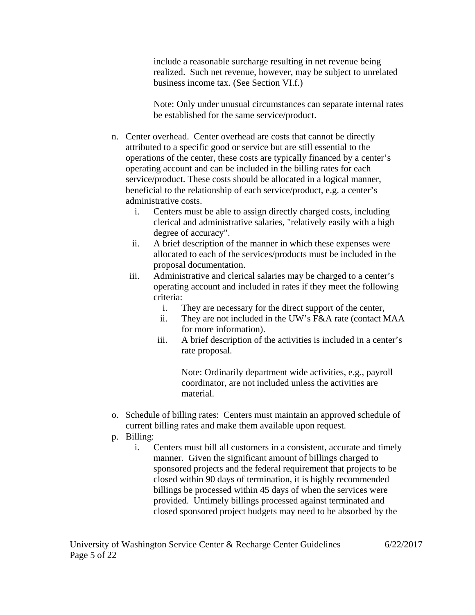include a reasonable surcharge resulting in net revenue being realized. Such net revenue, however, may be subject to unrelated business income tax. (See Section VI.f.)

Note: Only under unusual circumstances can separate internal rates be established for the same service/product.

- n. Center overhead. Center overhead are costs that cannot be directly attributed to a specific good or service but are still essential to the operations of the center, these costs are typically financed by a center's operating account and can be included in the billing rates for each service/product. These costs should be allocated in a logical manner, beneficial to the relationship of each service/product, e.g. a center's administrative costs.
	- i. Centers must be able to assign directly charged costs, including clerical and administrative salaries, "relatively easily with a high degree of accuracy".
	- ii. A brief description of the manner in which these expenses were allocated to each of the services/products must be included in the proposal documentation.
	- iii. Administrative and clerical salaries may be charged to a center's operating account and included in rates if they meet the following criteria:
		- i. They are necessary for the direct support of the center,
		- ii. They are not included in the UW's F&A rate (contact MAA for more information).
		- iii. A brief description of the activities is included in a center's rate proposal.

Note: Ordinarily department wide activities, e.g., payroll coordinator, are not included unless the activities are material.

- o. Schedule of billing rates: Centers must maintain an approved schedule of current billing rates and make them available upon request.
- p. Billing:
	- i. Centers must bill all customers in a consistent, accurate and timely manner. Given the significant amount of billings charged to sponsored projects and the federal requirement that projects to be closed within 90 days of termination, it is highly recommended billings be processed within 45 days of when the services were provided. Untimely billings processed against terminated and closed sponsored project budgets may need to be absorbed by the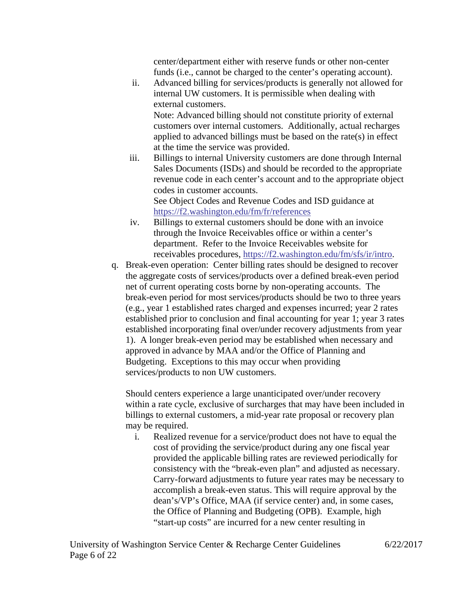center/department either with reserve funds or other non-center funds (i.e., cannot be charged to the center's operating account).

ii. Advanced billing for services/products is generally not allowed for internal UW customers. It is permissible when dealing with external customers.

Note: Advanced billing should not constitute priority of external customers over internal customers. Additionally, actual recharges applied to advanced billings must be based on the rate(s) in effect at the time the service was provided.

iii. Billings to internal University customers are done through Internal Sales Documents (ISDs) and should be recorded to the appropriate revenue code in each center's account and to the appropriate object codes in customer accounts. See Object Codes and Revenue Codes and ISD guidance at

<https://f2.washington.edu/fm/fr/references>

- iv. Billings to external customers should be done with an invoice through the Invoice Receivables office or within a center's department. Refer to the Invoice Receivables website for receivables procedures, [https://f2.washington.edu/fm/sfs/ir/intro.](https://f2.washington.edu/fm/sfs/ir/intro)
- q. Break-even operation: Center billing rates should be designed to recover the aggregate costs of services/products over a defined break-even period net of current operating costs borne by non-operating accounts. The break-even period for most services/products should be two to three years (e.g., year 1 established rates charged and expenses incurred; year 2 rates established prior to conclusion and final accounting for year 1; year 3 rates established incorporating final over/under recovery adjustments from year 1). A longer break-even period may be established when necessary and approved in advance by MAA and/or the Office of Planning and Budgeting. Exceptions to this may occur when providing services/products to non UW customers.

Should centers experience a large unanticipated over/under recovery within a rate cycle, exclusive of surcharges that may have been included in billings to external customers, a mid-year rate proposal or recovery plan may be required.

i. Realized revenue for a service/product does not have to equal the cost of providing the service/product during any one fiscal year provided the applicable billing rates are reviewed periodically for consistency with the "break-even plan" and adjusted as necessary. Carry-forward adjustments to future year rates may be necessary to accomplish a break-even status. This will require approval by the dean's/VP's Office, MAA (if service center) and, in some cases, the Office of Planning and Budgeting (OPB). Example, high "start-up costs" are incurred for a new center resulting in

University of Washington Service Center & Recharge Center Guidelines 6/22/2017 Page 6 of 22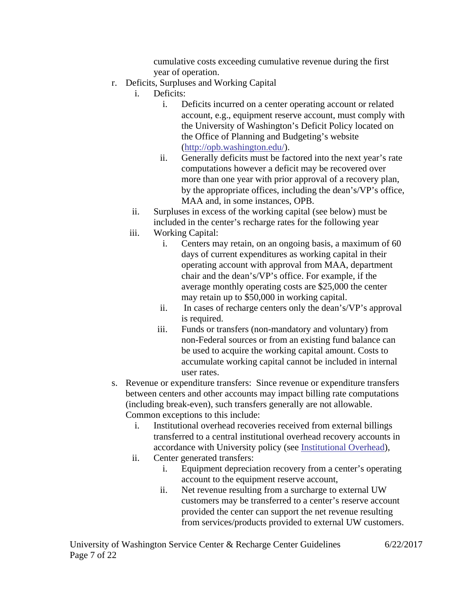cumulative costs exceeding cumulative revenue during the first year of operation.

- r. Deficits, Surpluses and Working Capital
	- i. Deficits:
		- i. Deficits incurred on a center operating account or related account, e.g., equipment reserve account, must comply with the University of Washington's Deficit Policy located on the Office of Planning and Budgeting's website [\(http://opb.washington.edu/\)](http://opb.washington.edu/).
		- ii. Generally deficits must be factored into the next year's rate computations however a deficit may be recovered over more than one year with prior approval of a recovery plan, by the appropriate offices, including the dean's/VP's office, MAA and, in some instances, OPB.
	- ii. Surpluses in excess of the working capital (see below) must be included in the center's recharge rates for the following year
	- iii. Working Capital:
		- i. Centers may retain, on an ongoing basis, a maximum of 60 days of current expenditures as working capital in their operating account with approval from MAA, department chair and the dean's/VP's office. For example, if the average monthly operating costs are \$25,000 the center may retain up to \$50,000 in working capital.
		- ii. In cases of recharge centers only the dean's/VP's approval is required.
		- iii. Funds or transfers (non-mandatory and voluntary) from non-Federal sources or from an existing fund balance can be used to acquire the working capital amount. Costs to accumulate working capital cannot be included in internal user rates.
- s. Revenue or expenditure transfers: Since revenue or expenditure transfers between centers and other accounts may impact billing rate computations (including break-even), such transfers generally are not allowable. Common exceptions to this include:
	- i. Institutional overhead recoveries received from external billings transferred to a central institutional overhead recovery accounts in accordance with University policy (see [Institutional Overhead\)](https://pm.uw.edu/2y2d/oe/node/126),
	- ii. Center generated transfers:
		- i. Equipment depreciation recovery from a center's operating account to the equipment reserve account,
		- ii. Net revenue resulting from a surcharge to external UW customers may be transferred to a center's reserve account provided the center can support the net revenue resulting from services/products provided to external UW customers.

University of Washington Service Center & Recharge Center Guidelines 6/22/2017 Page 7 of 22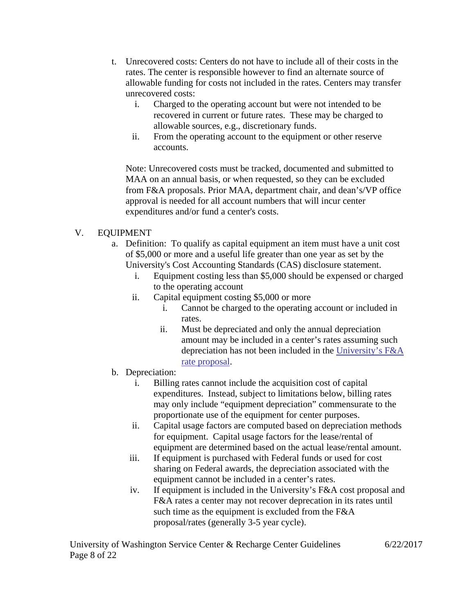- t. Unrecovered costs: Centers do not have to include all of their costs in the rates. The center is responsible however to find an alternate source of allowable funding for costs not included in the rates. Centers may transfer unrecovered costs:
	- i. Charged to the operating account but were not intended to be recovered in current or future rates. These may be charged to allowable sources, e.g., discretionary funds.
	- ii. From the operating account to the equipment or other reserve accounts.

Note: Unrecovered costs must be tracked, documented and submitted to MAA on an annual basis, or when requested, so they can be excluded from F&A proposals. Prior MAA, department chair, and dean's/VP office approval is needed for all account numbers that will incur center expenditures and/or fund a center's costs.

## V. EQUIPMENT

- a. Definition: To qualify as capital equipment an item must have a unit cost of \$5,000 or more and a useful life greater than one year as set by the University's Cost Accounting Standards (CAS) disclosure statement.
	- i. Equipment costing less than \$5,000 should be expensed or charged to the operating account
	- ii. Capital equipment costing \$5,000 or more
		- i. Cannot be charged to the operating account or included in rates.
		- ii. Must be depreciated and only the annual depreciation amount may be included in a center's rates assuming such depreciation has not been included in the [University's F&A](https://finance.uw.edu/maa/netid/fa/equip-incl-faproposal)  [rate proposal.](https://finance.uw.edu/maa/netid/fa/equip-incl-faproposal)
- b. Depreciation:
	- i. Billing rates cannot include the acquisition cost of capital expenditures. Instead, subject to limitations below, billing rates may only include "equipment depreciation" commensurate to the proportionate use of the equipment for center purposes.
	- ii. Capital usage factors are computed based on depreciation methods for equipment. Capital usage factors for the lease/rental of equipment are determined based on the actual lease/rental amount.
	- iii. If equipment is purchased with Federal funds or used for cost sharing on Federal awards, the depreciation associated with the equipment cannot be included in a center's rates.
	- iv. If equipment is included in the University's F&A cost proposal and F&A rates a center may not recover deprecation in its rates until such time as the equipment is excluded from the F&A proposal/rates (generally 3-5 year cycle).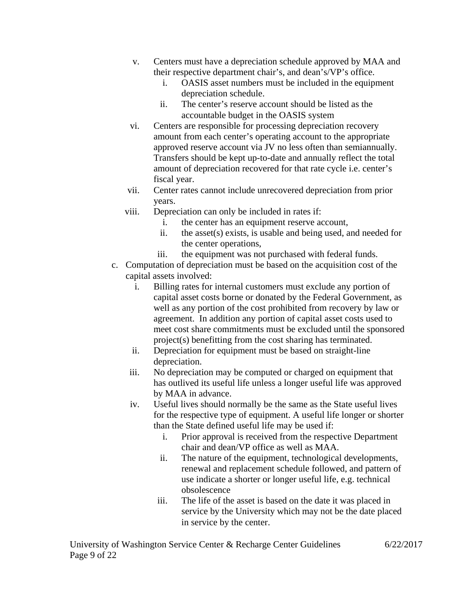- v. Centers must have a depreciation schedule approved by MAA and their respective department chair's, and dean's/VP's office.
	- i. OASIS asset numbers must be included in the equipment depreciation schedule.
	- ii. The center's reserve account should be listed as the accountable budget in the OASIS system
- vi. Centers are responsible for processing depreciation recovery amount from each center's operating account to the appropriate approved reserve account via JV no less often than semiannually. Transfers should be kept up-to-date and annually reflect the total amount of depreciation recovered for that rate cycle i.e. center's fiscal year.
- vii. Center rates cannot include unrecovered depreciation from prior years.
- viii. Depreciation can only be included in rates if:
	- i. the center has an equipment reserve account,
	- ii. the asset(s) exists, is usable and being used, and needed for the center operations,
	- iii. the equipment was not purchased with federal funds.
- c. Computation of depreciation must be based on the acquisition cost of the capital assets involved:
	- i. Billing rates for internal customers must exclude any portion of capital asset costs borne or donated by the Federal Government, as well as any portion of the cost prohibited from recovery by law or agreement. In addition any portion of capital asset costs used to meet cost share commitments must be excluded until the sponsored project(s) benefitting from the cost sharing has terminated.
	- ii. Depreciation for equipment must be based on straight-line depreciation.
	- iii. No depreciation may be computed or charged on equipment that has outlived its useful life unless a longer useful life was approved by MAA in advance.
	- iv. Useful lives should normally be the same as the State useful lives for the respective type of equipment. A useful life longer or shorter than the State defined useful life may be used if:
		- i. Prior approval is received from the respective Department chair and dean/VP office as well as MAA.
		- ii. The nature of the equipment, technological developments, renewal and replacement schedule followed, and pattern of use indicate a shorter or longer useful life, e.g. technical obsolescence
		- iii. The life of the asset is based on the date it was placed in service by the University which may not be the date placed in service by the center.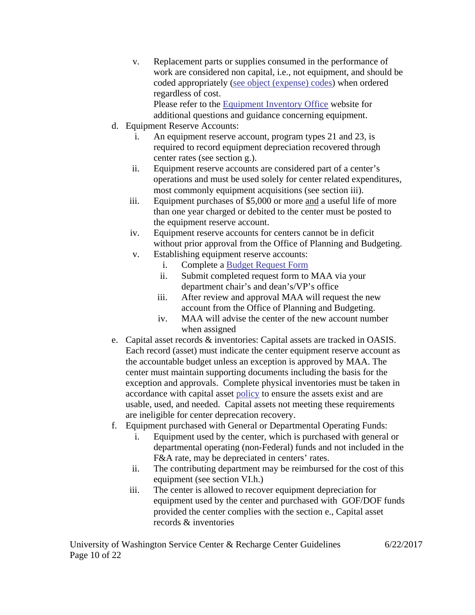v. Replacement parts or supplies consumed in the performance of work are considered non capital, i.e., not equipment, and should be coded appropriately [\(see object \(expense\)](https://f2.washington.edu/fm/fr/references/object-codes) codes) when ordered regardless of cost.

Please refer to the [Equipment Inventory Office](https://f2.washington.edu/fm/eio/) website for additional questions and guidance concerning equipment.

- d. Equipment Reserve Accounts:
	- i. An equipment reserve account, program types 21 and 23, is required to record equipment depreciation recovered through center rates (see section g.).
	- ii. Equipment reserve accounts are considered part of a center's operations and must be used solely for center related expenditures, most commonly equipment acquisitions (see section iii).
	- iii. Equipment purchases of \$5,000 or more and a useful life of more than one year charged or debited to the center must be posted to the equipment reserve account.
	- iv. Equipment reserve accounts for centers cannot be in deficit without prior approval from the Office of Planning and Budgeting.
	- v. Establishing equipment reserve accounts:
		- i. Complete a [Budget Request Form](http://opb.washington.edu/content/unit-operating-budgetsorg-codes)
		- ii. Submit completed request form to MAA via your department chair's and dean's/VP's office
		- iii. After review and approval MAA will request the new account from the Office of Planning and Budgeting.
		- iv. MAA will advise the center of the new account number when assigned
- e. Capital asset records & inventories: Capital assets are tracked in OASIS. Each record (asset) must indicate the center equipment reserve account as the accountable budget unless an exception is approved by MAA. The center must maintain supporting documents including the basis for the exception and approvals. Complete physical inventories must be taken in accordance with capital asset [policy](http://www.washington.edu/admin/rules/policies/APS/61.01.html) to ensure the assets exist and are usable, used, and needed. Capital assets not meeting these requirements are ineligible for center deprecation recovery.
- f. Equipment purchased with General or Departmental Operating Funds:
	- i. Equipment used by the center, which is purchased with general or departmental operating (non-Federal) funds and not included in the F&A rate, may be depreciated in centers' rates.
	- ii. The contributing department may be reimbursed for the cost of this equipment (see section VI.h.)
	- iii. The center is allowed to recover equipment depreciation for equipment used by the center and purchased with GOF/DOF funds provided the center complies with the section e., Capital asset records & inventories

University of Washington Service Center & Recharge Center Guidelines 6/22/2017 Page 10 of 22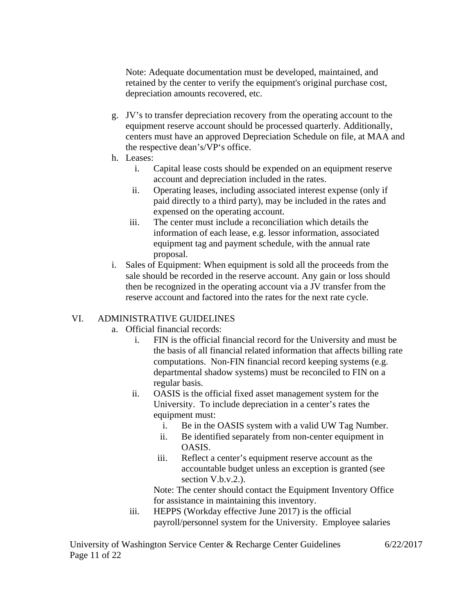Note: Adequate documentation must be developed, maintained, and retained by the center to verify the equipment's original purchase cost, depreciation amounts recovered, etc.

- g. JV's to transfer depreciation recovery from the operating account to the equipment reserve account should be processed quarterly. Additionally, centers must have an approved Depreciation Schedule on file, at MAA and the respective dean's/VP's office.
- h. Leases:
	- i. Capital lease costs should be expended on an equipment reserve account and depreciation included in the rates.
	- ii. Operating leases, including associated interest expense (only if paid directly to a third party), may be included in the rates and expensed on the operating account.
	- iii. The center must include a reconciliation which details the information of each lease, e.g. lessor information, associated equipment tag and payment schedule, with the annual rate proposal.
- i. Sales of Equipment: When equipment is sold all the proceeds from the sale should be recorded in the reserve account. Any gain or loss should then be recognized in the operating account via a JV transfer from the reserve account and factored into the rates for the next rate cycle.

## VI. ADMINISTRATIVE GUIDELINES

- a. Official financial records:
	- i. FIN is the official financial record for the University and must be the basis of all financial related information that affects billing rate computations. Non-FIN financial record keeping systems (e.g. departmental shadow systems) must be reconciled to FIN on a regular basis.
	- ii. OASIS is the official fixed asset management system for the University. To include depreciation in a center's rates the equipment must:
		- i. Be in the OASIS system with a valid UW Tag Number.
		- ii. Be identified separately from non-center equipment in OASIS.
		- iii. Reflect a center's equipment reserve account as the accountable budget unless an exception is granted (see section  $V.b.v.2.$ ).

Note: The center should contact the Equipment Inventory Office for assistance in maintaining this inventory.

iii. HEPPS (Workday effective June 2017) is the official payroll/personnel system for the University. Employee salaries

University of Washington Service Center & Recharge Center Guidelines 6/22/2017 Page 11 of 22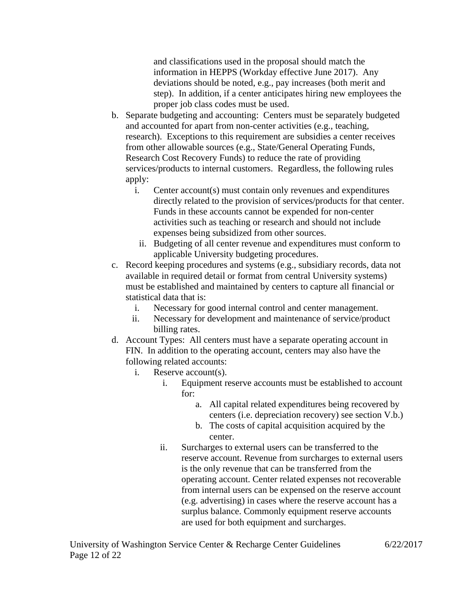and classifications used in the proposal should match the information in HEPPS (Workday effective June 2017). Any deviations should be noted, e.g., pay increases (both merit and step). In addition, if a center anticipates hiring new employees the proper job class codes must be used.

- b. Separate budgeting and accounting: Centers must be separately budgeted and accounted for apart from non-center activities (e.g., teaching, research). Exceptions to this requirement are subsidies a center receives from other allowable sources (e.g., State/General Operating Funds, Research Cost Recovery Funds) to reduce the rate of providing services/products to internal customers. Regardless, the following rules apply:
	- i. Center account(s) must contain only revenues and expenditures directly related to the provision of services/products for that center. Funds in these accounts cannot be expended for non-center activities such as teaching or research and should not include expenses being subsidized from other sources.
		- ii. Budgeting of all center revenue and expenditures must conform to applicable University budgeting procedures.
- c. Record keeping procedures and systems (e.g., subsidiary records, data not available in required detail or format from central University systems) must be established and maintained by centers to capture all financial or statistical data that is:
	- i. Necessary for good internal control and center management.
	- ii. Necessary for development and maintenance of service/product billing rates.
- d. Account Types: All centers must have a separate operating account in FIN. In addition to the operating account, centers may also have the following related accounts:
	- i. Reserve account(s).
		- i. Equipment reserve accounts must be established to account for:
			- a. All capital related expenditures being recovered by centers (i.e. depreciation recovery) see section V.b.)
			- b. The costs of capital acquisition acquired by the center.
		- ii. Surcharges to external users can be transferred to the reserve account. Revenue from surcharges to external users is the only revenue that can be transferred from the operating account. Center related expenses not recoverable from internal users can be expensed on the reserve account (e.g. advertising) in cases where the reserve account has a surplus balance. Commonly equipment reserve accounts are used for both equipment and surcharges.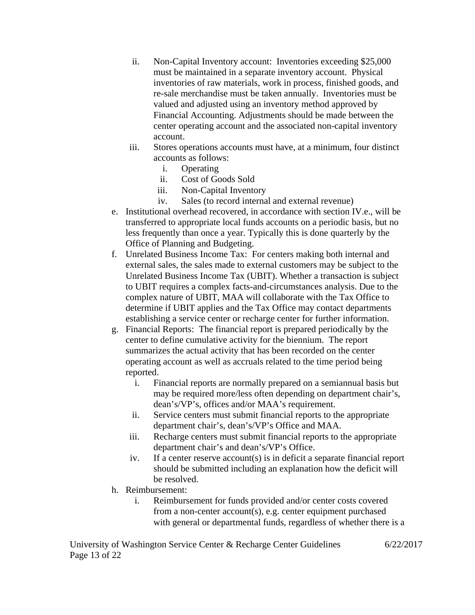- ii. Non-Capital Inventory account: Inventories exceeding \$25,000 must be maintained in a separate inventory account. Physical inventories of raw materials, work in process, finished goods, and re-sale merchandise must be taken annually. Inventories must be valued and adjusted using an inventory method approved by Financial Accounting. Adjustments should be made between the center operating account and the associated non-capital inventory account.
- iii. Stores operations accounts must have, at a minimum, four distinct accounts as follows:
	- i. Operating
	- ii. Cost of Goods Sold
	- iii. Non-Capital Inventory
	- iv. Sales (to record internal and external revenue)
- e. Institutional overhead recovered, in accordance with section IV.e., will be transferred to appropriate local funds accounts on a periodic basis, but no less frequently than once a year. Typically this is done quarterly by the Office of Planning and Budgeting.
- f. Unrelated Business Income Tax: For centers making both internal and external sales, the sales made to external customers may be subject to the Unrelated Business Income Tax (UBIT). Whether a transaction is subject to UBIT requires a complex facts-and-circumstances analysis. Due to the complex nature of UBIT, MAA will collaborate with the Tax Office to determine if UBIT applies and the Tax Office may contact departments establishing a service center or recharge center for further information.
- g. Financial Reports: The financial report is prepared periodically by the center to define cumulative activity for the biennium. The report summarizes the actual activity that has been recorded on the center operating account as well as accruals related to the time period being reported.
	- i. Financial reports are normally prepared on a semiannual basis but may be required more/less often depending on department chair's, dean's/VP's, offices and/or MAA's requirement.
	- ii. Service centers must submit financial reports to the appropriate department chair's, dean's/VP's Office and MAA.
	- iii. Recharge centers must submit financial reports to the appropriate department chair's and dean's/VP's Office.
	- iv. If a center reserve account(s) is in deficit a separate financial report should be submitted including an explanation how the deficit will be resolved.
- h. Reimbursement:
	- i. Reimbursement for funds provided and/or center costs covered from a non-center account(s), e.g. center equipment purchased with general or departmental funds, regardless of whether there is a

University of Washington Service Center & Recharge Center Guidelines 6/22/2017 Page 13 of 22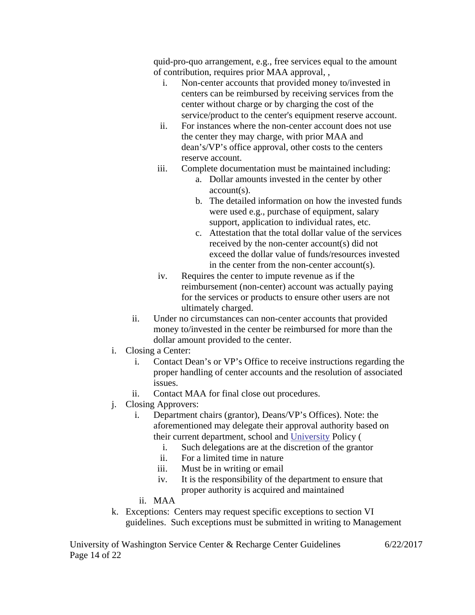quid-pro-quo arrangement, e.g., free services equal to the amount of contribution, requires prior MAA approval, ,

- i. Non-center accounts that provided money to/invested in centers can be reimbursed by receiving services from the center without charge or by charging the cost of the service/product to the center's equipment reserve account.
- ii. For instances where the non-center account does not use the center they may charge, with prior MAA and dean's/VP's office approval, other costs to the centers reserve account.
- iii. Complete documentation must be maintained including:
	- a. Dollar amounts invested in the center by other account(s).
	- b. The detailed information on how the invested funds were used e.g., purchase of equipment, salary support, application to individual rates, etc.
	- c. Attestation that the total dollar value of the services received by the non-center account(s) did not exceed the dollar value of funds/resources invested in the center from the non-center account(s).
- iv. Requires the center to impute revenue as if the reimbursement (non-center) account was actually paying for the services or products to ensure other users are not ultimately charged.
- ii. Under no circumstances can non-center accounts that provided money to/invested in the center be reimbursed for more than the dollar amount provided to the center.
- i. Closing a Center:
	- i. Contact Dean's or VP's Office to receive instructions regarding the proper handling of center accounts and the resolution of associated issues.
	- ii. Contact MAA for final close out procedures.
- j. Closing Approvers:
	- i. Department chairs (grantor), Deans/VP's Offices). Note: the aforementioned may delegate their approval authority based on their current department, school and [University](https://www.washington.edu/research/osp/gim/gim2-signature-delegation.html) Policy (
		- i. Such delegations are at the discretion of the grantor
		- ii. For a limited time in nature
		- iii. Must be in writing or email
		- iv. It is the responsibility of the department to ensure that proper authority is acquired and maintained
	- ii. MAA
- k. Exceptions: Centers may request specific exceptions to section VI guidelines. Such exceptions must be submitted in writing to Management

University of Washington Service Center & Recharge Center Guidelines 6/22/2017 Page 14 of 22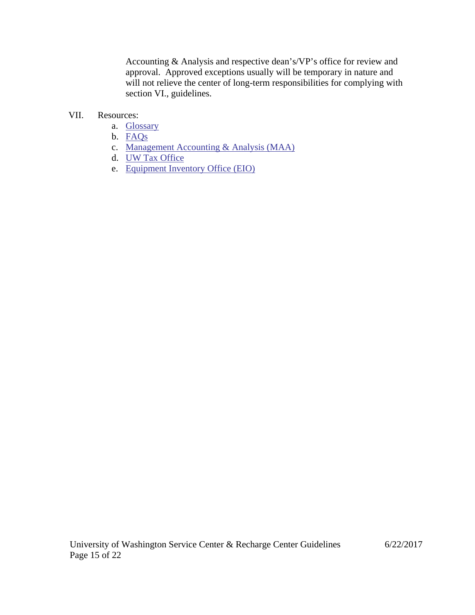Accounting & Analysis and respective dean's/VP's office for review and approval. Approved exceptions usually will be temporary in nature and will not relieve the center of long-term responsibilities for complying with section VI., guidelines.

#### VII. Resources:

- a. [Glossary](#page-15-0)
- b. [FAQs](#page-18-0)
- c. [Management Accounting & Analysis \(MAA\)](http://f2.washington.edu/fm/maa/home)
- d. [UW Tax Office](https://f2.washington.edu/fm/tax/home)
- e. [Equipment Inventory Office \(EIO\)](https://f2.washington.edu/fm/eio/)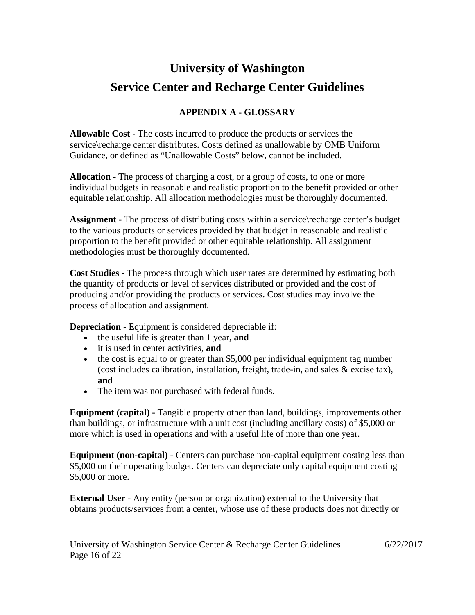## **University of Washington Service Center and Recharge Center Guidelines**

## **APPENDIX A - GLOSSARY**

<span id="page-15-0"></span>**Allowable Cost** - The costs incurred to produce the products or services the service\recharge center distributes. Costs defined as unallowable by OMB Uniform Guidance, or defined as "Unallowable Costs" below, cannot be included.

**Allocation** - The process of charging a cost, or a group of costs, to one or more individual budgets in reasonable and realistic proportion to the benefit provided or other equitable relationship. All allocation methodologies must be thoroughly documented.

**Assignment** - The process of distributing costs within a service recharge center's budget to the various products or services provided by that budget in reasonable and realistic proportion to the benefit provided or other equitable relationship. All assignment methodologies must be thoroughly documented.

**Cost Studies** - The process through which user rates are determined by estimating both the quantity of products or level of services distributed or provided and the cost of producing and/or providing the products or services. Cost studies may involve the process of allocation and assignment.

**Depreciation** - Equipment is considered depreciable if:

- the useful life is greater than 1 year, **and**
- it is used in center activities, **and**
- the cost is equal to or greater than \$5,000 per individual equipment tag number (cost includes calibration, installation, freight, trade-in, and sales & excise tax), **and**
- The item was not purchased with federal funds.

**Equipment (capital) -** Tangible property other than land, buildings, improvements other than buildings, or infrastructure with a unit cost (including ancillary costs) of \$5,000 or more which is used in operations and with a useful life of more than one year.

**Equipment (non-capital)** - Centers can purchase non-capital equipment costing less than \$5,000 on their operating budget. Centers can depreciate only capital equipment costing \$5,000 or more.

**External User** - Any entity (person or organization) external to the University that obtains products/services from a center, whose use of these products does not directly or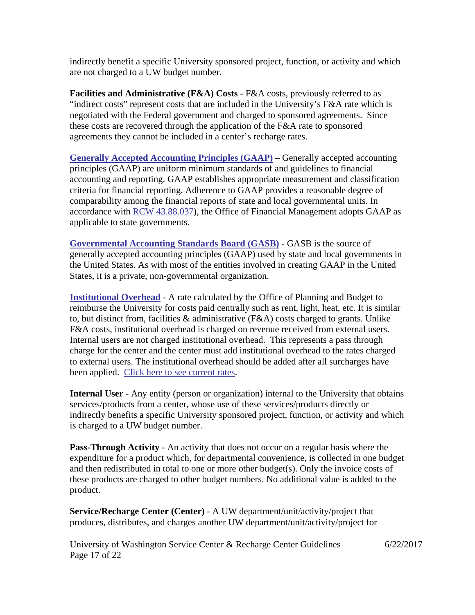indirectly benefit a specific University sponsored project, function, or activity and which are not charged to a UW budget number.

**Facilities and Administrative (F&A) Costs** - F&A costs, previously referred to as "indirect costs" represent costs that are included in the University's F&A rate which is negotiated with the Federal government and charged to sponsored agreements. Since these costs are recovered through the application of the F&A rate to sponsored agreements they cannot be included in a center's recharge rates.

**[Generally Accepted Accounting Principles \(GAAP\)](http://www.ofm.wa.gov/policy/80.20.htm)** – Generally accepted accounting principles (GAAP) are uniform minimum standards of and guidelines to financial accounting and reporting. GAAP establishes appropriate measurement and classification criteria for financial reporting. Adherence to GAAP provides a reasonable degree of comparability among the financial reports of state and local governmental units. In accordance with [RCW 43.88.037\)](http://apps.leg.wa.gov/RCW/default.aspx?cite=43.88.037), the Office of Financial Management adopts GAAP as applicable to state governments.

**[Governmental Accounting Standards Board \(GASB\)](http://www.gasb.org/)** - GASB is the source of generally accepted accounting principles (GAAP) used by state and local governments in the United States. As with most of the entities involved in creating GAAP in the United States, it is a private, non-governmental organization.

**[Institutional Overhead](https://pm.uw.edu/2y2d/oe/node/126)** - A rate calculated by the Office of Planning and Budget to reimburse the University for costs paid centrally such as rent, light, heat, etc. It is similar to, but distinct from, facilities & administrative (F&A) costs charged to grants. Unlike F&A costs, institutional overhead is charged on revenue received from external users. Internal users are not charged institutional overhead. This represents a pass through charge for the center and the center must add institutional overhead to the rates charged to external users. The institutional overhead should be added after all surcharges have been applied. [Click here to see current rates.](https://pm.uw.edu/2y2d/oe/node/126)

**Internal User** - Any entity (person or organization) internal to the University that obtains services/products from a center, whose use of these services/products directly or indirectly benefits a specific University sponsored project, function, or activity and which is charged to a UW budget number.

**Pass-Through Activity** - An activity that does not occur on a regular basis where the expenditure for a product which, for departmental convenience, is collected in one budget and then redistributed in total to one or more other budget(s). Only the invoice costs of these products are charged to other budget numbers. No additional value is added to the product.

**Service/Recharge Center (Center)** - A UW department/unit/activity/project that produces, distributes, and charges another UW department/unit/activity/project for

University of Washington Service Center & Recharge Center Guidelines 6/22/2017 Page 17 of 22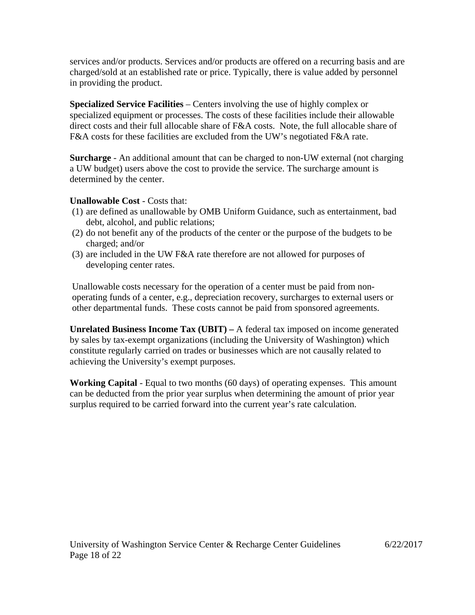services and/or products. Services and/or products are offered on a recurring basis and are charged/sold at an established rate or price. Typically, there is value added by personnel in providing the product.

**Specialized Service Facilities** – Centers involving the use of highly complex or specialized equipment or processes. The costs of these facilities include their allowable direct costs and their full allocable share of F&A costs. Note, the full allocable share of F&A costs for these facilities are excluded from the UW's negotiated F&A rate.

**Surcharge** - An additional amount that can be charged to non-UW external (not charging a UW budget) users above the cost to provide the service. The surcharge amount is determined by the center.

### **Unallowable Cost** - Costs that:

- (1) are defined as unallowable by OMB Uniform Guidance, such as entertainment, bad debt, alcohol, and public relations;
- (2) do not benefit any of the products of the center or the purpose of the budgets to be charged; and/or
- (3) are included in the UW F&A rate therefore are not allowed for purposes of developing center rates.

Unallowable costs necessary for the operation of a center must be paid from nonoperating funds of a center, e.g., depreciation recovery, surcharges to external users or other departmental funds. These costs cannot be paid from sponsored agreements.

**Unrelated Business Income Tax (UBIT) –** A federal tax imposed on income generated by sales by tax-exempt organizations (including the University of Washington) which constitute regularly carried on trades or businesses which are not causally related to achieving the University's exempt purposes.

**Working Capital** - Equal to two months (60 days) of operating expenses. This amount can be deducted from the prior year surplus when determining the amount of prior year surplus required to be carried forward into the current year's rate calculation.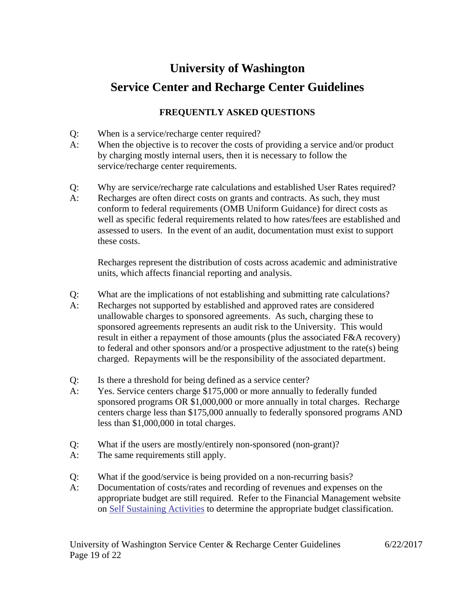# **University of Washington Service Center and Recharge Center Guidelines**

## **FREQUENTLY ASKED QUESTIONS**

- <span id="page-18-0"></span>Q: When is a service/recharge center required?
- A: When the objective is to recover the costs of providing a service and/or product by charging mostly internal users, then it is necessary to follow the service/recharge center requirements.
- Q: Why are service/recharge rate calculations and established User Rates required?
- A: Recharges are often direct costs on grants and contracts. As such, they must conform to federal requirements (OMB Uniform Guidance) for direct costs as well as specific federal requirements related to how rates/fees are established and assessed to users. In the event of an audit, documentation must exist to support these costs.

Recharges represent the distribution of costs across academic and administrative units, which affects financial reporting and analysis.

- Q: What are the implications of not establishing and submitting rate calculations?
- A: Recharges not supported by established and approved rates are considered unallowable charges to sponsored agreements. As such, charging these to sponsored agreements represents an audit risk to the University. This would result in either a repayment of those amounts (plus the associated F&A recovery) to federal and other sponsors and/or a prospective adjustment to the rate(s) being charged. Repayments will be the responsibility of the associated department.
- Q: Is there a threshold for being defined as a service center?
- A: Yes. Service centers charge \$175,000 or more annually to federally funded sponsored programs OR \$1,000,000 or more annually in total charges. Recharge centers charge less than \$175,000 annually to federally sponsored programs AND less than \$1,000,000 in total charges.
- Q: What if the users are mostly/entirely non-sponsored (non-grant)?
- A: The same requirements still apply.
- Q: What if the good/service is being provided on a non-recurring basis?
- A: Documentation of costs/rates and recording of revenues and expenses on the appropriate budget are still required. Refer to the Financial Management website on Self [Sustaining Activities](https://finance.uw.edu/toolkit/budget-management/revenue) to determine the appropriate budget classification.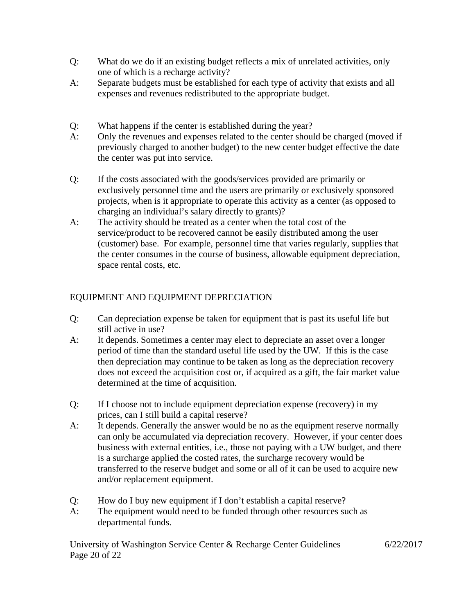- Q: What do we do if an existing budget reflects a mix of unrelated activities, only one of which is a recharge activity?
- A: Separate budgets must be established for each type of activity that exists and all expenses and revenues redistributed to the appropriate budget.
- Q: What happens if the center is established during the year?
- A: Only the revenues and expenses related to the center should be charged (moved if previously charged to another budget) to the new center budget effective the date the center was put into service.
- Q: If the costs associated with the goods/services provided are primarily or exclusively personnel time and the users are primarily or exclusively sponsored projects, when is it appropriate to operate this activity as a center (as opposed to charging an individual's salary directly to grants)?
- A: The activity should be treated as a center when the total cost of the service/product to be recovered cannot be easily distributed among the user (customer) base. For example, personnel time that varies regularly, supplies that the center consumes in the course of business, allowable equipment depreciation, space rental costs, etc.

## EQUIPMENT AND EQUIPMENT DEPRECIATION

- Q: Can depreciation expense be taken for equipment that is past its useful life but still active in use?
- A: It depends. Sometimes a center may elect to depreciate an asset over a longer period of time than the standard useful life used by the UW. If this is the case then depreciation may continue to be taken as long as the depreciation recovery does not exceed the acquisition cost or, if acquired as a gift, the fair market value determined at the time of acquisition.
- Q: If I choose not to include equipment depreciation expense (recovery) in my prices, can I still build a capital reserve?
- A: It depends. Generally the answer would be no as the equipment reserve normally can only be accumulated via depreciation recovery. However, if your center does business with external entities, i.e., those not paying with a UW budget, and there is a surcharge applied the costed rates, the surcharge recovery would be transferred to the reserve budget and some or all of it can be used to acquire new and/or replacement equipment.
- Q: How do I buy new equipment if I don't establish a capital reserve?
- A: The equipment would need to be funded through other resources such as departmental funds.

University of Washington Service Center & Recharge Center Guidelines 6/22/2017 Page 20 of 22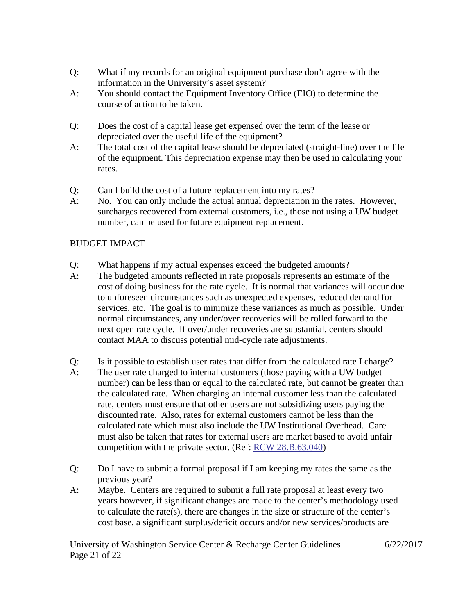- Q: What if my records for an original equipment purchase don't agree with the information in the University's asset system?
- A: You should contact the Equipment Inventory Office (EIO) to determine the course of action to be taken.
- Q: Does the cost of a capital lease get expensed over the term of the lease or depreciated over the useful life of the equipment?
- A: The total cost of the capital lease should be depreciated (straight-line) over the life of the equipment. This depreciation expense may then be used in calculating your rates.
- Q: Can I build the cost of a future replacement into my rates?
- A: No. You can only include the actual annual depreciation in the rates. However, surcharges recovered from external customers, i.e., those not using a UW budget number, can be used for future equipment replacement.

## BUDGET IMPACT

- Q: What happens if my actual expenses exceed the budgeted amounts?
- A: The budgeted amounts reflected in rate proposals represents an estimate of the cost of doing business for the rate cycle. It is normal that variances will occur due to unforeseen circumstances such as unexpected expenses, reduced demand for services, etc. The goal is to minimize these variances as much as possible. Under normal circumstances, any under/over recoveries will be rolled forward to the next open rate cycle. If over/under recoveries are substantial, centers should contact MAA to discuss potential mid-cycle rate adjustments.
- Q: Is it possible to establish user rates that differ from the calculated rate I charge?
- A: The user rate charged to internal customers (those paying with a UW budget number) can be less than or equal to the calculated rate, but cannot be greater than the calculated rate. When charging an internal customer less than the calculated rate, centers must ensure that other users are not subsidizing users paying the discounted rate. Also, rates for external customers cannot be less than the calculated rate which must also include the UW Institutional Overhead. Care must also be taken that rates for external users are market based to avoid unfair competition with the private sector. (Ref: [RCW 28.B.63.040\)](http://app.leg.wa.gov/RCW/default.aspx?cite=28B.63.040)
- Q: Do I have to submit a formal proposal if I am keeping my rates the same as the previous year?
- A: Maybe. Centers are required to submit a full rate proposal at least every two years however, if significant changes are made to the center's methodology used to calculate the rate(s), there are changes in the size or structure of the center's cost base, a significant surplus/deficit occurs and/or new services/products are

University of Washington Service Center & Recharge Center Guidelines 6/22/2017 Page 21 of 22